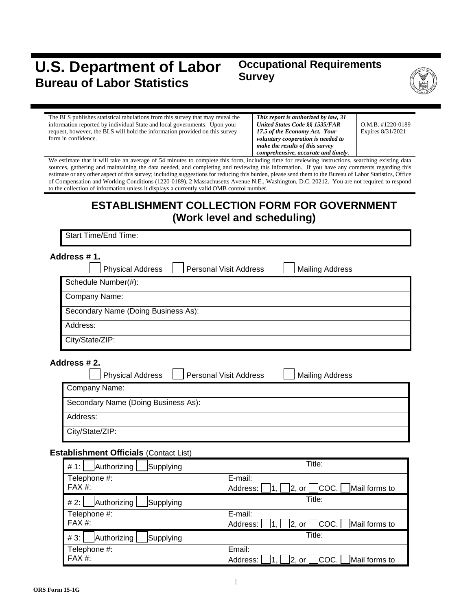# **U.S. Department of Labor Bureau of Labor Statistics**

## **Occupational Requirements Survey**



| The BLS publishes statistical tabulations from this survey that may reveal the | This report is authorized by law, 31 |   |
|--------------------------------------------------------------------------------|--------------------------------------|---|
| information reported by individual State and local governments. Upon your      | United States Code §§ 1535/FAR       |   |
| request, however, the BLS will hold the information provided on this survey    | 17.5 of the Economy Act. Your        | E |
| form in confidence.                                                            | voluntary cooperation is needed to   |   |
|                                                                                | make the results of this survey      |   |

O.M.B. #1220-0189 Expires 8/31/2021

*comprehensive, accurate and timely.* We estimate that it will take an average of 54 minutes to complete this form, including time for reviewing instructions, searching existing data sources, gathering and maintaining the data needed, and completing and reviewing this information. If you have any comments regarding this estimate or any other aspect of this survey; including suggestions for reducing this burden, please send them to the Bureau of Labor Statistics, Office of Compensation and Working Conditions (1220-0189), 2 Massachusetts Avenue N.E., Washington, D.C. 20212. You are not required to respond to the collection of information unless it displays a currently valid OMB control number.

# **ESTABLISHMENT COLLECTION FORM FOR GOVERNMENT (Work level and scheduling)**

Start Time/End Time:

| Address # 1.<br><b>Physical Address</b><br><b>Personal Visit Address</b> | <b>Mailing Address</b> |
|--------------------------------------------------------------------------|------------------------|
| Schedule Number(#):                                                      |                        |
| Company Name:                                                            |                        |
| Secondary Name (Doing Business As):                                      |                        |
| Address:                                                                 |                        |
| City/State/ZIP:                                                          |                        |

#### **Address # 2.**

| <b>Physical Address</b>             | <b>Personal Visit Address</b> | <b>Mailing Address</b> |
|-------------------------------------|-------------------------------|------------------------|
| Company Name:                       |                               |                        |
| Secondary Name (Doing Business As): |                               |                        |
| Address:                            |                               |                        |
| City/State/ZIP:                     |                               |                        |

#### **Establishment Officials** (Contact List)

| Authorizing<br>Supplying<br># 1:   | Title:                                                       |
|------------------------------------|--------------------------------------------------------------|
| Telephone #:                       | E-mail:                                                      |
| $FAX#$ :                           | COC.   Mail forms to<br>Address:<br> 2, or                   |
| Authorizing<br># 2:<br>Supplying   | Title:                                                       |
| Telephone #:                       | E-mail:                                                      |
| FAX #:                             | COC.   Mail forms to<br>Address:<br> 2, or                   |
| Authorizing<br>$#3$ :<br>Supplying | Title:                                                       |
| Telephone #:                       | Email:                                                       |
| FAX #:                             | Mail forms to<br> COC. <br>Address:<br>12 <sub>1</sub><br>or |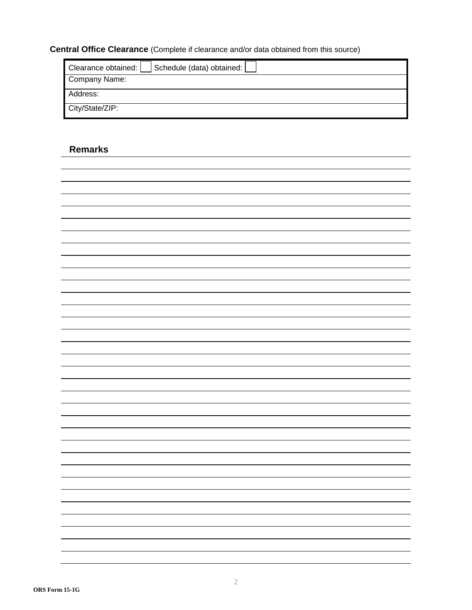## **Central Office Clearance** (Complete if clearance and/or data obtained from this source)

| Schedule (data) obtained:<br>Clearance obtained: |
|--------------------------------------------------|
| Company Name:                                    |
| Address:                                         |
| City/State/ZIP:                                  |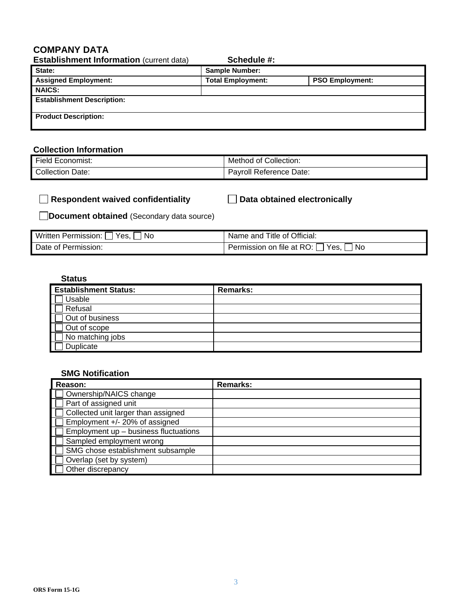#### **COMPANY DATA**

| <b>Establishment Information (current data)</b> | Schedule #:              |                        |
|-------------------------------------------------|--------------------------|------------------------|
| State:                                          | <b>Sample Number:</b>    |                        |
| <b>Assigned Employment:</b>                     | <b>Total Employment:</b> | <b>PSO Employment:</b> |
| <b>NAICS:</b>                                   |                          |                        |
| <b>Establishment Description:</b>               |                          |                        |
| <b>Product Description:</b>                     |                          |                        |

#### **Collection Information**

| --                  | Collection:                         |
|---------------------|-------------------------------------|
| `Economist:         | ot.                                 |
| -iela               | Method                              |
| collection<br>Date: | Reference Date:<br>.<br>roll<br>dV. |

| $\Box$ Respondent waived confidentiality | □ Data obtained electronically |
|------------------------------------------|--------------------------------|
|                                          |                                |

**Document obtained** (Secondary data source)

| Written Permission:<br>Yes.<br>No. | Name and Title of Official:                 |
|------------------------------------|---------------------------------------------|
| Date of Permission:                | Permission on file at RO: [<br>Yes,<br>' No |

#### **Status**

| <b>Establishment Status:</b> | <b>Remarks:</b> |
|------------------------------|-----------------|
| Usable                       |                 |
| Refusal                      |                 |
| Out of business              |                 |
| Out of scope                 |                 |
| No matching jobs             |                 |
| Duplicate                    |                 |

#### **SMG Notification**

| Reason:                               | Remarks: |
|---------------------------------------|----------|
| Ownership/NAICS change                |          |
| Part of assigned unit                 |          |
| Collected unit larger than assigned   |          |
| Employment +/- 20% of assigned        |          |
| Employment up - business fluctuations |          |
| Sampled employment wrong              |          |
| SMG chose establishment subsample     |          |
| Overlap (set by system)               |          |
| Other discrepancy                     |          |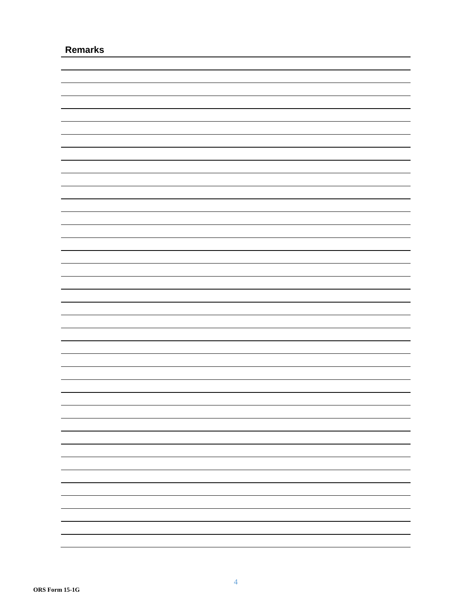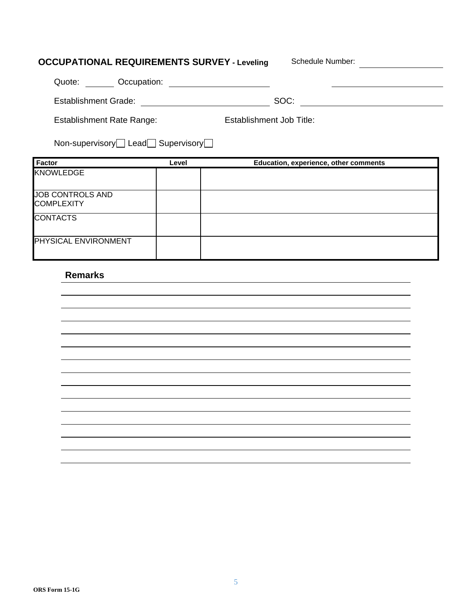| <b>OCCUPATIONAL REQUIREMENTS SURVEY - Leveling</b>                  |       | Schedule Number:                      |
|---------------------------------------------------------------------|-------|---------------------------------------|
| Occupation:<br>Quote:                                               |       |                                       |
| <b>Establishment Grade:</b>                                         |       | SOC:                                  |
| <b>Establishment Job Title:</b><br><b>Establishment Rate Range:</b> |       |                                       |
| Non-supervisory Lead Supervisory                                    |       |                                       |
|                                                                     |       |                                       |
| <b>Factor</b><br><b>KNOWLEDGE</b>                                   | Level | Education, experience, other comments |
| <b>JOB CONTROLS AND</b><br><b>COMPLEXITY</b>                        |       |                                       |
| <b>CONTACTS</b>                                                     |       |                                       |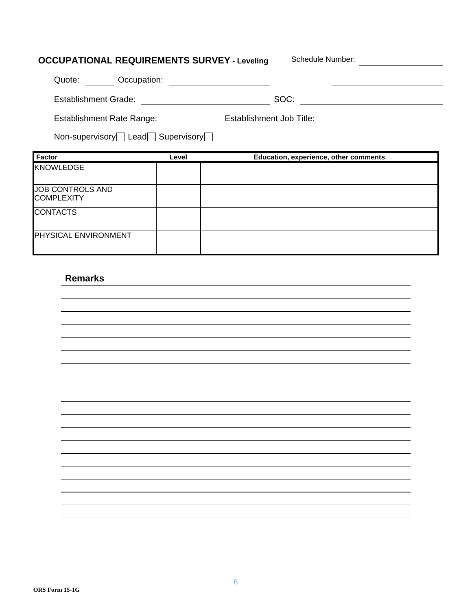# **OCCUPATIONAL REQUIREMENTS SURVEY - Leveling Schedule Number:** Quote: Occupation: Establishment Grade: SOC: Establishment Rate Range: Establishment Job Title: Non-supervisory Lead Supervisory

| Factor                  | Level | Education, experience, other comments |
|-------------------------|-------|---------------------------------------|
| <b>KNOWLEDGE</b>        |       |                                       |
|                         |       |                                       |
| <b>JOB CONTROLS AND</b> |       |                                       |
| <b>COMPLEXITY</b>       |       |                                       |
| <b>CONTACTS</b>         |       |                                       |
|                         |       |                                       |
| PHYSICAL ENVIRONMENT    |       |                                       |
|                         |       |                                       |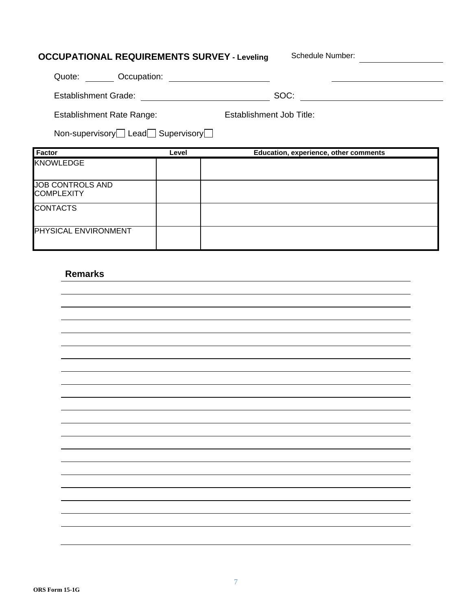| <b>OCCUPATIONAL REQUIREMENTS SURVEY - Leveling</b> |       | Schedule Number:                      |
|----------------------------------------------------|-------|---------------------------------------|
| Quote: Occupation:                                 |       |                                       |
| <b>Establishment Grade:</b>                        |       | SOC:                                  |
| <b>Establishment Rate Range:</b>                   |       | Establishment Job Title:              |
| Non-supervisory Lead Supervisory                   |       |                                       |
| Factor                                             | Level | Education, experience, other comments |
| <b>KNOWLEDGE</b>                                   |       |                                       |
| <b>JOB CONTROLS AND</b>                            |       |                                       |
| <b>COMPLEXITY</b>                                  |       |                                       |
|                                                    |       |                                       |
| <b>CONTACTS</b>                                    |       |                                       |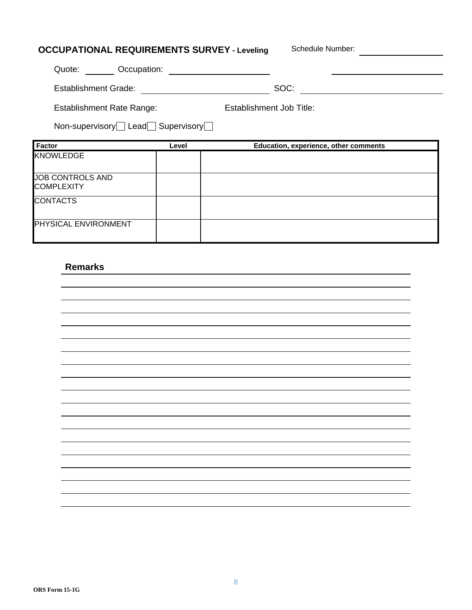| <b>OCCUPATIONAL REQUIREMENTS SURVEY - Leveling</b>           |       |  | Schedule Number:                      |
|--------------------------------------------------------------|-------|--|---------------------------------------|
| Quote: Occupation:                                           |       |  |                                       |
| Establishment Grade: <u>_________________</u>                |       |  | SOC:                                  |
| Establishment Job Title:<br><b>Establishment Rate Range:</b> |       |  |                                       |
| Non-supervisory Lead Supervisory                             |       |  |                                       |
| <b>Factor</b>                                                | Level |  | Education, experience, other comments |
| <b>KNOWLEDGE</b>                                             |       |  |                                       |
| <b>JOB CONTROLS AND</b><br><b>COMPLEXITY</b>                 |       |  |                                       |
| <b>CONTACTS</b>                                              |       |  |                                       |
| PHYSICAL ENVIRONMENT                                         |       |  |                                       |
|                                                              |       |  |                                       |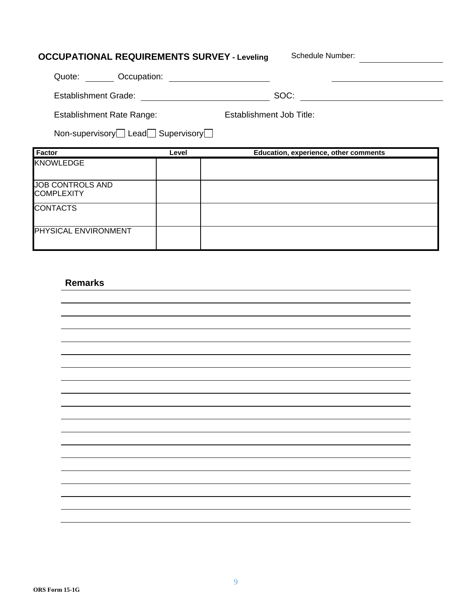| <b>OCCUPATIONAL REQUIREMENTS SURVEY - Leveling</b> |       | Schedule Number:                      |  |
|----------------------------------------------------|-------|---------------------------------------|--|
| Quote: Occupation:                                 |       |                                       |  |
| Establishment Grade:                               |       | SOC:                                  |  |
| <b>Establishment Rate Range:</b>                   |       | Establishment Job Title:              |  |
| Non-supervisory Lead Supervisory                   |       |                                       |  |
| <b>Factor</b>                                      | Level | Education, experience, other comments |  |
| <b>KNOWLEDGE</b>                                   |       |                                       |  |
| <b>JOB CONTROLS AND</b>                            |       |                                       |  |
| <b>COMPLEXITY</b>                                  |       |                                       |  |
| <b>CONTACTS</b>                                    |       |                                       |  |
|                                                    |       |                                       |  |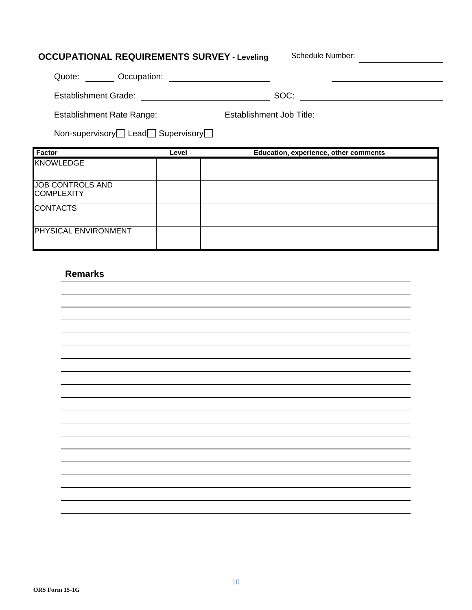| <b>OCCUPATIONAL REQUIREMENTS SURVEY - Leveling</b> |       | Schedule Number:                      |
|----------------------------------------------------|-------|---------------------------------------|
| Quote: Occupation:                                 |       |                                       |
| <b>Establishment Grade:</b>                        |       | SOC:                                  |
| <b>Establishment Rate Range:</b>                   |       | Establishment Job Title:              |
| Non-supervisory Lead Supervisory                   |       |                                       |
|                                                    |       |                                       |
| <b>Factor</b>                                      | Level | Education, experience, other comments |
| <b>KNOWLEDGE</b>                                   |       |                                       |
| <b>JOB CONTROLS AND</b>                            |       |                                       |
| <b>COMPLEXITY</b>                                  |       |                                       |
| <b>CONTACTS</b>                                    |       |                                       |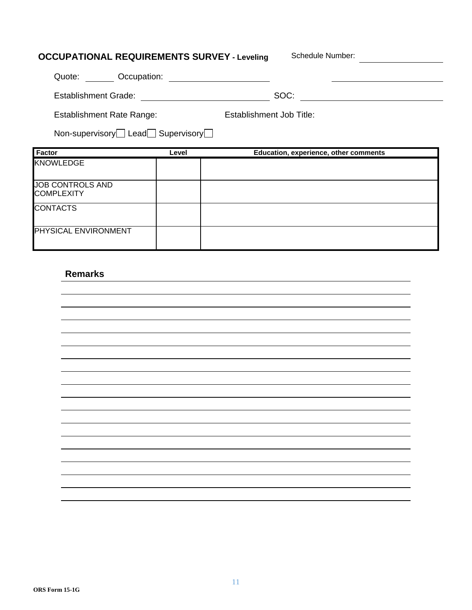| <b>OCCUPATIONAL REQUIREMENTS SURVEY - Leveling</b> |       | Schedule Number:                      |
|----------------------------------------------------|-------|---------------------------------------|
| Quote: Occupation:                                 |       |                                       |
| <b>Establishment Grade:</b>                        |       | SOC:                                  |
| <b>Establishment Rate Range:</b>                   |       | Establishment Job Title:              |
| Non-supervisory Lead Supervisory                   |       |                                       |
| Factor                                             | Level | Education, experience, other comments |
| <b>KNOWLEDGE</b>                                   |       |                                       |
|                                                    |       |                                       |
| <b>JOB CONTROLS AND</b><br><b>COMPLEXITY</b>       |       |                                       |
| <b>CONTACTS</b>                                    |       |                                       |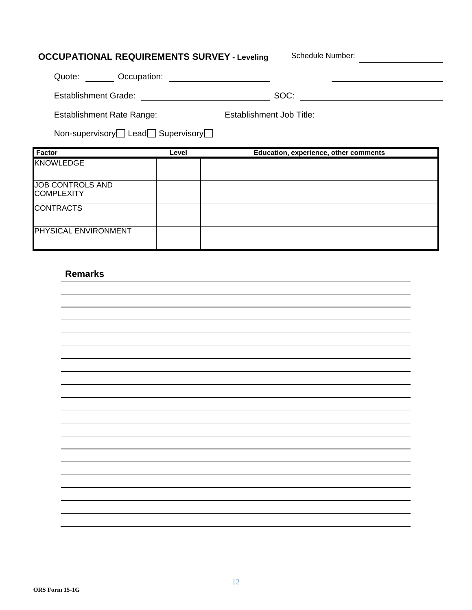| <b>OCCUPATIONAL REQUIREMENTS SURVEY - Leveling</b> |       | Schedule Number:                      |
|----------------------------------------------------|-------|---------------------------------------|
| Quote: Occupation:                                 |       |                                       |
| <b>Establishment Grade:</b>                        |       | SOC:                                  |
| <b>Establishment Rate Range:</b>                   |       | Establishment Job Title:              |
| Non-supervisory Lead Supervisory                   |       |                                       |
|                                                    |       |                                       |
| Factor                                             | Level | Education, experience, other comments |
| <b>KNOWLEDGE</b>                                   |       |                                       |
|                                                    |       |                                       |
| <b>JOB CONTROLS AND</b><br><b>COMPLEXITY</b>       |       |                                       |
| <b>CONTRACTS</b>                                   |       |                                       |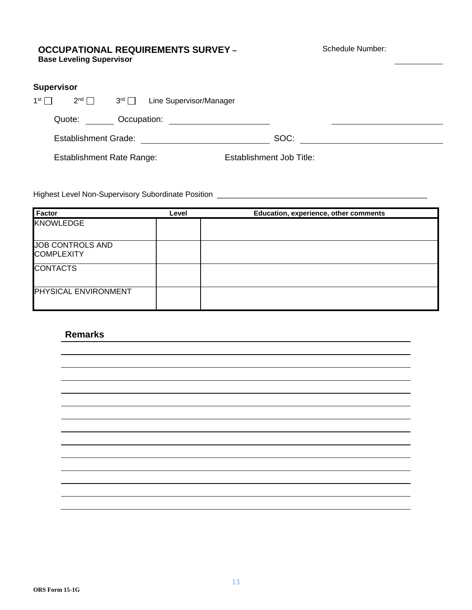#### **OCCUPATIONAL REQUIREMENTS SURVEY – Base Leveling Supervisor**

Schedule Number:

|            | <b>Supervisor</b>                |                        |                         |                          |  |
|------------|----------------------------------|------------------------|-------------------------|--------------------------|--|
| $1st \Box$ | $2^{nd}$                         | $3^{\text{rd}}$ $\Box$ | Line Supervisor/Manager |                          |  |
|            | Quote:                           | Occupation:            |                         |                          |  |
|            | <b>Establishment Grade:</b>      |                        |                         | SOC:                     |  |
|            | <b>Establishment Rate Range:</b> |                        |                         | Establishment Job Title: |  |

Highest Level Non-Supervisory Subordinate Position \_\_\_\_\_\_\_\_\_\_\_\_\_\_\_\_\_\_\_\_\_\_\_\_\_\_\_\_\_\_\_\_\_\_\_\_\_\_\_\_\_\_\_\_\_\_\_\_\_

| <b>Factor</b>                         | Level | Education, experience, other comments |
|---------------------------------------|-------|---------------------------------------|
| <b>KNOWLEDGE</b>                      |       |                                       |
|                                       |       |                                       |
| JOB CONTROLS AND<br><b>COMPLEXITY</b> |       |                                       |
|                                       |       |                                       |
| <b>CONTACTS</b>                       |       |                                       |
|                                       |       |                                       |
| PHYSICAL ENVIRONMENT                  |       |                                       |
|                                       |       |                                       |

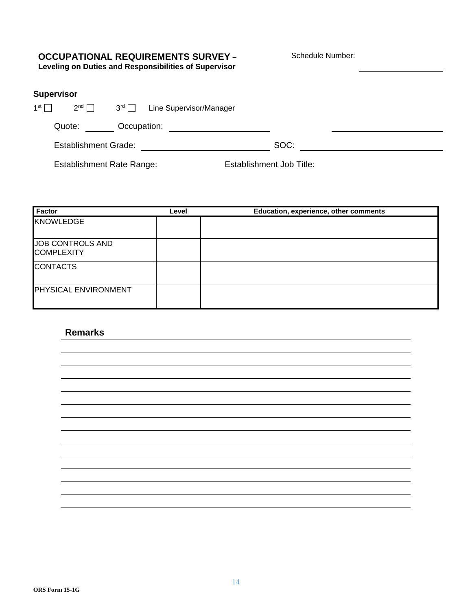## **OCCUPATIONAL REQUIREMENTS SURVEY –**

Schedule Number:

**Leveling on Duties and Responsibilities of Supervisor**

#### **Supervisor**

| 1st $\Box$ | $2^{nd}$                         | $3^{\text{rd}}$ $\Box$ | Line Supervisor/Manager |                          |  |
|------------|----------------------------------|------------------------|-------------------------|--------------------------|--|
|            | Quote:                           | Occupation:            |                         |                          |  |
|            | <b>Establishment Grade:</b>      |                        |                         | SOC:                     |  |
|            | <b>Establishment Rate Range:</b> |                        |                         | Establishment Job Title: |  |

| Factor                                       | Level | Education, experience, other comments |
|----------------------------------------------|-------|---------------------------------------|
| <b>KNOWLEDGE</b>                             |       |                                       |
| <b>JOB CONTROLS AND</b><br><b>COMPLEXITY</b> |       |                                       |
| <b>CONTACTS</b>                              |       |                                       |
| <b>PHYSICAL ENVIRONMENT</b>                  |       |                                       |

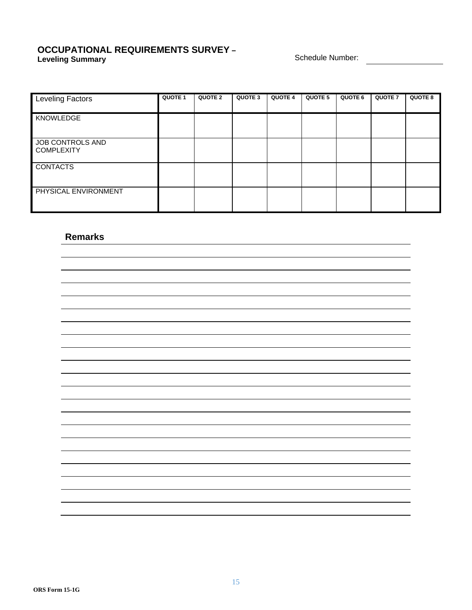#### **OCCUPATIONAL REQUIREMENTS SURVEY – Leveling Summary CONSIDEREMENTS CONTROL**<br> **Leveling Summary** Schedule Number:

| <b>Leveling Factors</b>               | <b>QUOTE 1</b> | QUOTE 2 | QUOTE 3 | <b>QUOTE 4</b> | QUOTE 5 | <b>QUOTE 6</b> | <b>QUOTE 7</b> | <b>QUOTE 8</b> |
|---------------------------------------|----------------|---------|---------|----------------|---------|----------------|----------------|----------------|
| <b>KNOWLEDGE</b>                      |                |         |         |                |         |                |                |                |
| JOB CONTROLS AND<br><b>COMPLEXITY</b> |                |         |         |                |         |                |                |                |
| <b>CONTACTS</b>                       |                |         |         |                |         |                |                |                |
| PHYSICAL ENVIRONMENT                  |                |         |         |                |         |                |                |                |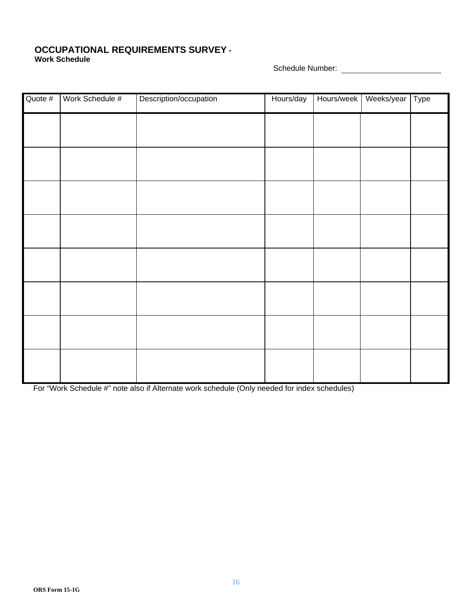#### **OCCUPATIONAL REQUIREMENTS SURVEY - Work Schedule**

Schedule Number:

| Quote # | Work Schedule # | Description/occupation | Hours/day | Hours/week | Weeks/year   Type |  |
|---------|-----------------|------------------------|-----------|------------|-------------------|--|
|         |                 |                        |           |            |                   |  |
|         |                 |                        |           |            |                   |  |
|         |                 |                        |           |            |                   |  |
|         |                 |                        |           |            |                   |  |
|         |                 |                        |           |            |                   |  |
|         |                 |                        |           |            |                   |  |
|         |                 |                        |           |            |                   |  |
|         |                 |                        |           |            |                   |  |
|         |                 |                        |           |            |                   |  |
|         |                 |                        |           |            |                   |  |

For "Work Schedule #" note also if Alternate work schedule (Only needed for index schedules)